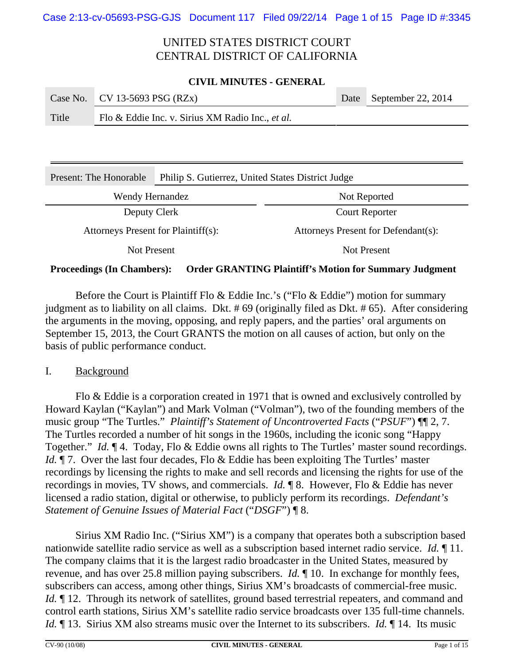### **CIVIL MINUTES - GENERAL**

|       | Case No. CV 13-5693 PSG (RZx)                    | Date September 22, 2014 |
|-------|--------------------------------------------------|-------------------------|
| Title | Flo & Eddie Inc. v. Sirius XM Radio Inc., et al. |                         |

| Present: The Honorable              | Philip S. Gutierrez, United States District Judge |                                     |  |  |
|-------------------------------------|---------------------------------------------------|-------------------------------------|--|--|
| Wendy Hernandez<br>Not Reported     |                                                   |                                     |  |  |
| Deputy Clerk                        |                                                   | <b>Court Reporter</b>               |  |  |
| Attorneys Present for Plaintiff(s): |                                                   | Attorneys Present for Defendant(s): |  |  |
| Not Present                         |                                                   | Not Present                         |  |  |

### **Proceedings (In Chambers): Order GRANTING Plaintiff's Motion for Summary Judgment**

Before the Court is Plaintiff Flo & Eddie Inc.'s ("Flo & Eddie") motion for summary judgment as to liability on all claims. Dkt. # 69 (originally filed as Dkt. # 65). After considering the arguments in the moving, opposing, and reply papers, and the parties' oral arguments on September 15, 2013, the Court GRANTS the motion on all causes of action, but only on the basis of public performance conduct.

I. Background

Flo & Eddie is a corporation created in 1971 that is owned and exclusively controlled by Howard Kaylan ("Kaylan") and Mark Volman ("Volman"), two of the founding members of the music group "The Turtles." *Plaintiff's Statement of Uncontroverted Facts* ("*PSUF*") ¶¶ 2, 7. The Turtles recorded a number of hit songs in the 1960s, including the iconic song "Happy Together." *Id.* ¶ 4. Today, Flo & Eddie owns all rights to The Turtles' master sound recordings. *Id.* ¶ 7. Over the last four decades, Flo & Eddie has been exploiting The Turtles' master recordings by licensing the rights to make and sell records and licensing the rights for use of the recordings in movies, TV shows, and commercials. *Id.* ¶ 8. However, Flo & Eddie has never licensed a radio station, digital or otherwise, to publicly perform its recordings. *Defendant's Statement of Genuine Issues of Material Fact* ("*DSGF*") ¶ 8.

Sirius XM Radio Inc. ("Sirius XM") is a company that operates both a subscription based nationwide satellite radio service as well as a subscription based internet radio service. *Id.* ¶ 11. The company claims that it is the largest radio broadcaster in the United States, measured by revenue, and has over 25.8 million paying subscribers. *Id.* ¶ 10. In exchange for monthly fees, subscribers can access, among other things, Sirius XM's broadcasts of commercial-free music. *Id.*  $\P$  12. Through its network of satellites, ground based terrestrial repeaters, and command and control earth stations, Sirius XM's satellite radio service broadcasts over 135 full-time channels. *Id.* 13. Sirius XM also streams music over the Internet to its subscribers. *Id.* 14. Its music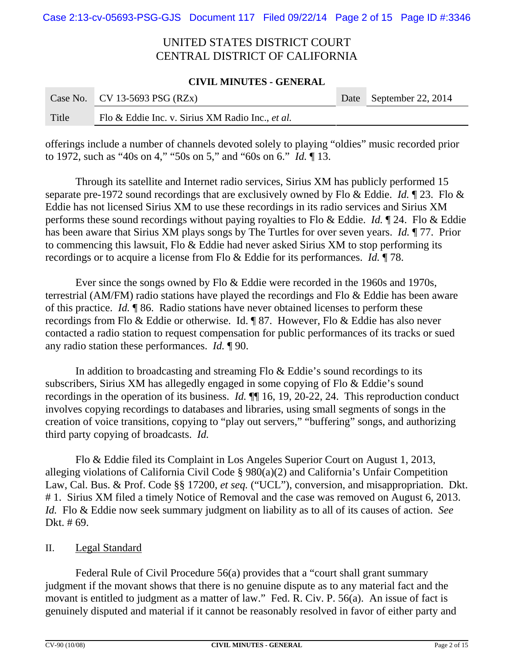### **CIVIL MINUTES - GENERAL**

|       | Case No. CV 13-5693 PSG $(RZx)$                  | Date September 22, 2014 |
|-------|--------------------------------------------------|-------------------------|
| Title | Flo & Eddie Inc. v. Sirius XM Radio Inc., et al. |                         |

offerings include a number of channels devoted solely to playing "oldies" music recorded prior to 1972, such as "40s on 4," "50s on 5," and "60s on 6." *Id.* ¶ 13.

Through its satellite and Internet radio services, Sirius XM has publicly performed 15 separate pre-1972 sound recordings that are exclusively owned by Flo & Eddie. *Id.* ¶ 23. Flo & Eddie has not licensed Sirius XM to use these recordings in its radio services and Sirius XM performs these sound recordings without paying royalties to Flo & Eddie. *Id.* ¶ 24. Flo & Eddie has been aware that Sirius XM plays songs by The Turtles for over seven years. *Id.* ¶ 77. Prior to commencing this lawsuit, Flo & Eddie had never asked Sirius XM to stop performing its recordings or to acquire a license from Flo & Eddie for its performances. *Id.* ¶ 78.

Ever since the songs owned by Flo & Eddie were recorded in the 1960s and 1970s, terrestrial (AM/FM) radio stations have played the recordings and Flo & Eddie has been aware of this practice. *Id.* ¶ 86. Radio stations have never obtained licenses to perform these recordings from Flo & Eddie or otherwise. Id. ¶ 87. However, Flo & Eddie has also never contacted a radio station to request compensation for public performances of its tracks or sued any radio station these performances. *Id.* ¶ 90.

In addition to broadcasting and streaming Flo & Eddie's sound recordings to its subscribers, Sirius XM has allegedly engaged in some copying of Flo & Eddie's sound recordings in the operation of its business. *Id.* ¶¶ 16, 19, 20-22, 24. This reproduction conduct involves copying recordings to databases and libraries, using small segments of songs in the creation of voice transitions, copying to "play out servers," "buffering" songs, and authorizing third party copying of broadcasts. *Id.*

Flo & Eddie filed its Complaint in Los Angeles Superior Court on August 1, 2013, alleging violations of California Civil Code § 980(a)(2) and California's Unfair Competition Law, Cal. Bus. & Prof. Code §§ 17200, *et seq.* ("UCL"), conversion, and misappropriation. Dkt. # 1. Sirius XM filed a timely Notice of Removal and the case was removed on August 6, 2013. *Id.* Flo & Eddie now seek summary judgment on liability as to all of its causes of action. *See* Dkt. # 69.

### II. Legal Standard

Federal Rule of Civil Procedure 56(a) provides that a "court shall grant summary judgment if the movant shows that there is no genuine dispute as to any material fact and the movant is entitled to judgment as a matter of law." Fed. R. Civ. P. 56(a). An issue of fact is genuinely disputed and material if it cannot be reasonably resolved in favor of either party and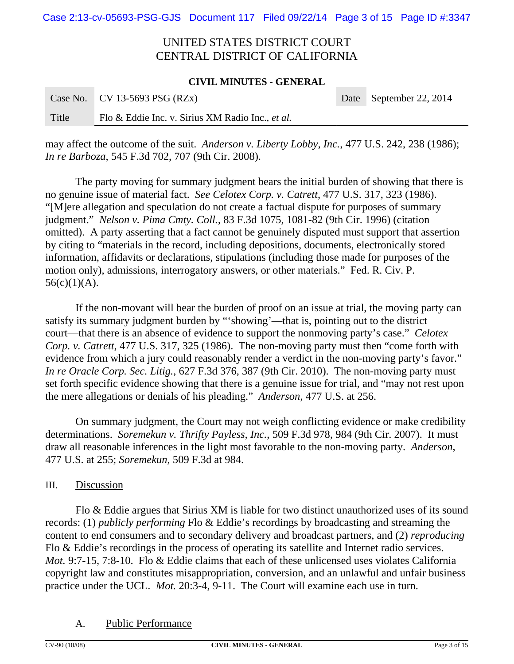#### **CIVIL MINUTES - GENERAL**

|       | Case No. CV 13-5693 PSG (RZx)                    | Date September 22, 2014 |
|-------|--------------------------------------------------|-------------------------|
| Title | Flo & Eddie Inc. v. Sirius XM Radio Inc., et al. |                         |

may affect the outcome of the suit. *Anderson v. Liberty Lobby, Inc.*, 477 U.S. 242, 238 (1986); *In re Barboza*, 545 F.3d 702, 707 (9th Cir. 2008).

The party moving for summary judgment bears the initial burden of showing that there is no genuine issue of material fact. *See Celotex Corp. v. Catrett*, 477 U.S. 317, 323 (1986). "[M]ere allegation and speculation do not create a factual dispute for purposes of summary judgment." *Nelson v. Pima Cmty. Coll.*, 83 F.3d 1075, 1081-82 (9th Cir. 1996) (citation omitted). A party asserting that a fact cannot be genuinely disputed must support that assertion by citing to "materials in the record, including depositions, documents, electronically stored information, affidavits or declarations, stipulations (including those made for purposes of the motion only), admissions, interrogatory answers, or other materials." Fed. R. Civ. P.  $56(c)(1)(A)$ .

If the non-movant will bear the burden of proof on an issue at trial, the moving party can satisfy its summary judgment burden by "'showing'—that is, pointing out to the district court—that there is an absence of evidence to support the nonmoving party's case." *Celotex Corp. v. Catrett*, 477 U.S. 317, 325 (1986). The non-moving party must then "come forth with evidence from which a jury could reasonably render a verdict in the non-moving party's favor." *In re Oracle Corp. Sec. Litig.*, 627 F.3d 376, 387 (9th Cir. 2010). The non-moving party must set forth specific evidence showing that there is a genuine issue for trial, and "may not rest upon the mere allegations or denials of his pleading." *Anderson*, 477 U.S. at 256.

On summary judgment, the Court may not weigh conflicting evidence or make credibility determinations. *Soremekun v. Thrifty Payless, Inc.*, 509 F.3d 978, 984 (9th Cir. 2007). It must draw all reasonable inferences in the light most favorable to the non-moving party. *Anderson*, 477 U.S. at 255; *Soremekun*, 509 F.3d at 984.

### III. Discussion

Flo & Eddie argues that Sirius XM is liable for two distinct unauthorized uses of its sound records: (1) *publicly performing* Flo & Eddie's recordings by broadcasting and streaming the content to end consumers and to secondary delivery and broadcast partners, and (2) *reproducing* Flo & Eddie's recordings in the process of operating its satellite and Internet radio services. *Mot.* 9:7-15, 7:8-10. Flo & Eddie claims that each of these unlicensed uses violates California copyright law and constitutes misappropriation, conversion, and an unlawful and unfair business practice under the UCL. *Mot.* 20:3-4, 9-11. The Court will examine each use in turn.

### A. Public Performance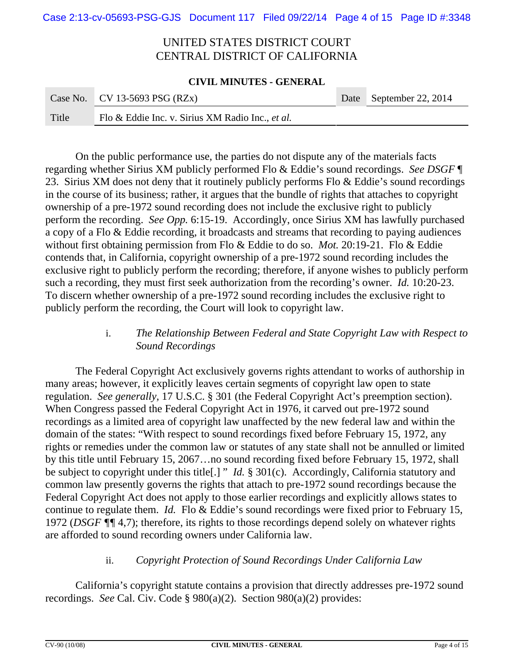### **CIVIL MINUTES - GENERAL**

|       | Case No. CV 13-5693 PSG (RZx)                    | Date September 22, 2014 |
|-------|--------------------------------------------------|-------------------------|
| Title | Flo & Eddie Inc. v. Sirius XM Radio Inc., et al. |                         |

On the public performance use, the parties do not dispute any of the materials facts regarding whether Sirius XM publicly performed Flo & Eddie's sound recordings. *See DSGF* ¶ 23. Sirius XM does not deny that it routinely publicly performs Flo & Eddie's sound recordings in the course of its business; rather, it argues that the bundle of rights that attaches to copyright ownership of a pre-1972 sound recording does not include the exclusive right to publicly perform the recording. *See Opp.* 6:15-19. Accordingly, once Sirius XM has lawfully purchased a copy of a Flo & Eddie recording, it broadcasts and streams that recording to paying audiences without first obtaining permission from Flo & Eddie to do so. *Mot.* 20:19-21. Flo & Eddie contends that, in California, copyright ownership of a pre-1972 sound recording includes the exclusive right to publicly perform the recording; therefore, if anyone wishes to publicly perform such a recording, they must first seek authorization from the recording's owner. *Id.* 10:20-23. To discern whether ownership of a pre-1972 sound recording includes the exclusive right to publicly perform the recording, the Court will look to copyright law.

## i. *The Relationship Between Federal and State Copyright Law with Respect to Sound Recordings*

The Federal Copyright Act exclusively governs rights attendant to works of authorship in many areas; however, it explicitly leaves certain segments of copyright law open to state regulation. *See generally,* 17 U.S.C. § 301 (the Federal Copyright Act's preemption section). When Congress passed the Federal Copyright Act in 1976, it carved out pre-1972 sound recordings as a limited area of copyright law unaffected by the new federal law and within the domain of the states: "With respect to sound recordings fixed before February 15, 1972, any rights or remedies under the common law or statutes of any state shall not be annulled or limited by this title until February 15, 2067…no sound recording fixed before February 15, 1972, shall be subject to copyright under this title[.] " *Id.* § 301(c). Accordingly, California statutory and common law presently governs the rights that attach to pre-1972 sound recordings because the Federal Copyright Act does not apply to those earlier recordings and explicitly allows states to continue to regulate them. *Id.* Flo & Eddie's sound recordings were fixed prior to February 15, 1972 (*DSGF ¶¶* 4,7); therefore, its rights to those recordings depend solely on whatever rights are afforded to sound recording owners under California law.

### ii. *Copyright Protection of Sound Recordings Under California Law*

California's copyright statute contains a provision that directly addresses pre-1972 sound recordings. *See* Cal. Civ. Code § 980(a)(2). Section 980(a)(2) provides: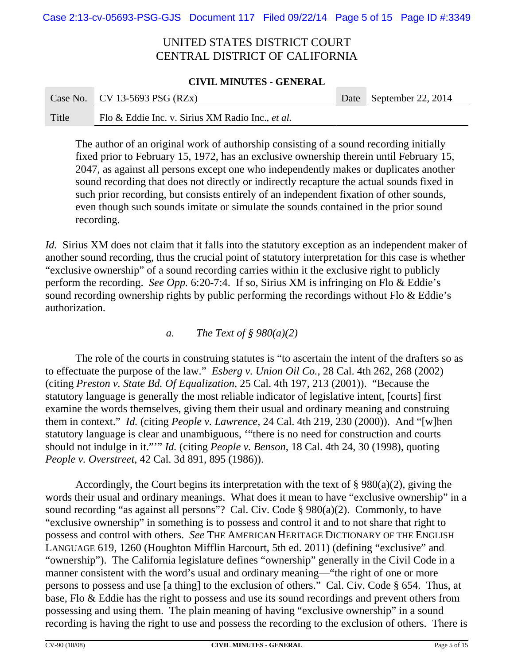### **CIVIL MINUTES - GENERAL**

|       | Case No.   CV 13-5693 PSG (RZx)                  | Date September 22, 2014 |
|-------|--------------------------------------------------|-------------------------|
| Title | Flo & Eddie Inc. v. Sirius XM Radio Inc., et al. |                         |

The author of an original work of authorship consisting of a sound recording initially fixed prior to February 15, 1972, has an exclusive ownership therein until February 15, 2047, as against all persons except one who independently makes or duplicates another sound recording that does not directly or indirectly recapture the actual sounds fixed in such prior recording, but consists entirely of an independent fixation of other sounds, even though such sounds imitate or simulate the sounds contained in the prior sound recording.

*Id.* Sirius XM does not claim that it falls into the statutory exception as an independent maker of another sound recording, thus the crucial point of statutory interpretation for this case is whether "exclusive ownership" of a sound recording carries within it the exclusive right to publicly perform the recording. *See Opp.* 6:20-7:4. If so, Sirius XM is infringing on Flo & Eddie's sound recording ownership rights by public performing the recordings without Flo & Eddie's authorization.

## *a. The Text of § 980(a)(2)*

The role of the courts in construing statutes is "to ascertain the intent of the drafters so as to effectuate the purpose of the law." *Esberg v. Union Oil Co.*, 28 Cal. 4th 262, 268 (2002) (citing *Preston v. State Bd. Of Equalization*, 25 Cal. 4th 197, 213 (2001)). "Because the statutory language is generally the most reliable indicator of legislative intent, [courts] first examine the words themselves, giving them their usual and ordinary meaning and construing them in context." *Id.* (citing *People v. Lawrence*, 24 Cal. 4th 219, 230 (2000)). And "[w]hen statutory language is clear and unambiguous, '"there is no need for construction and courts should not indulge in it."'" *Id.* (citing *People v. Benson*, 18 Cal. 4th 24, 30 (1998), quoting *People v. Overstreet*, 42 Cal. 3d 891, 895 (1986)).

Accordingly, the Court begins its interpretation with the text of § 980(a)(2), giving the words their usual and ordinary meanings. What does it mean to have "exclusive ownership" in a sound recording "as against all persons"? Cal. Civ. Code § 980(a)(2). Commonly, to have "exclusive ownership" in something is to possess and control it and to not share that right to possess and control with others. *See* THE AMERICAN HERITAGE DICTIONARY OF THE ENGLISH LANGUAGE 619, 1260 (Houghton Mifflin Harcourt, 5th ed. 2011) (defining "exclusive" and "ownership"). The California legislature defines "ownership" generally in the Civil Code in a manner consistent with the word's usual and ordinary meaning—"the right of one or more persons to possess and use [a thing] to the exclusion of others." Cal. Civ. Code § 654. Thus, at base, Flo & Eddie has the right to possess and use its sound recordings and prevent others from possessing and using them. The plain meaning of having "exclusive ownership" in a sound recording is having the right to use and possess the recording to the exclusion of others. There is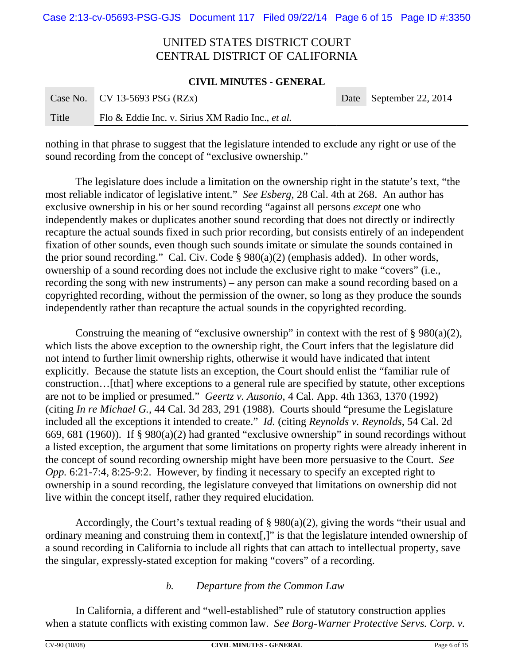### **CIVIL MINUTES - GENERAL**

**Contract** 

|       | Case No. CV 13-5693 PSG $(RZx)$                  | Date September 22, 2014 |
|-------|--------------------------------------------------|-------------------------|
| Title | Flo & Eddie Inc. v. Sirius XM Radio Inc., et al. |                         |

nothing in that phrase to suggest that the legislature intended to exclude any right or use of the sound recording from the concept of "exclusive ownership."

The legislature does include a limitation on the ownership right in the statute's text, "the most reliable indicator of legislative intent." *See Esberg*, 28 Cal. 4th at 268. An author has exclusive ownership in his or her sound recording "against all persons *except* one who independently makes or duplicates another sound recording that does not directly or indirectly recapture the actual sounds fixed in such prior recording, but consists entirely of an independent fixation of other sounds, even though such sounds imitate or simulate the sounds contained in the prior sound recording." Cal. Civ. Code § 980(a)(2) (emphasis added). In other words, ownership of a sound recording does not include the exclusive right to make "covers" (i.e., recording the song with new instruments) – any person can make a sound recording based on a copyrighted recording, without the permission of the owner, so long as they produce the sounds independently rather than recapture the actual sounds in the copyrighted recording.

Construing the meaning of "exclusive ownership" in context with the rest of  $\S 980(a)(2)$ , which lists the above exception to the ownership right, the Court infers that the legislature did not intend to further limit ownership rights, otherwise it would have indicated that intent explicitly. Because the statute lists an exception, the Court should enlist the "familiar rule of construction…[that] where exceptions to a general rule are specified by statute, other exceptions are not to be implied or presumed." *Geertz v. Ausonio*, 4 Cal. App. 4th 1363, 1370 (1992) (citing *In re Michael G.*, 44 Cal. 3d 283, 291 (1988). Courts should "presume the Legislature included all the exceptions it intended to create." *Id.* (citing *Reynolds v. Reynolds*, 54 Cal. 2d 669, 681 (1960)). If § 980(a)(2) had granted "exclusive ownership" in sound recordings without a listed exception, the argument that some limitations on property rights were already inherent in the concept of sound recording ownership might have been more persuasive to the Court. *See Opp.* 6:21-7:4, 8:25-9:2. However, by finding it necessary to specify an excepted right to ownership in a sound recording, the legislature conveyed that limitations on ownership did not live within the concept itself, rather they required elucidation.

Accordingly, the Court's textual reading of § 980(a)(2), giving the words "their usual and ordinary meaning and construing them in context[,]" is that the legislature intended ownership of a sound recording in California to include all rights that can attach to intellectual property, save the singular, expressly-stated exception for making "covers" of a recording.

## *b. Departure from the Common Law*

In California, a different and "well-established" rule of statutory construction applies when a statute conflicts with existing common law. *See Borg-Warner Protective Servs. Corp. v.*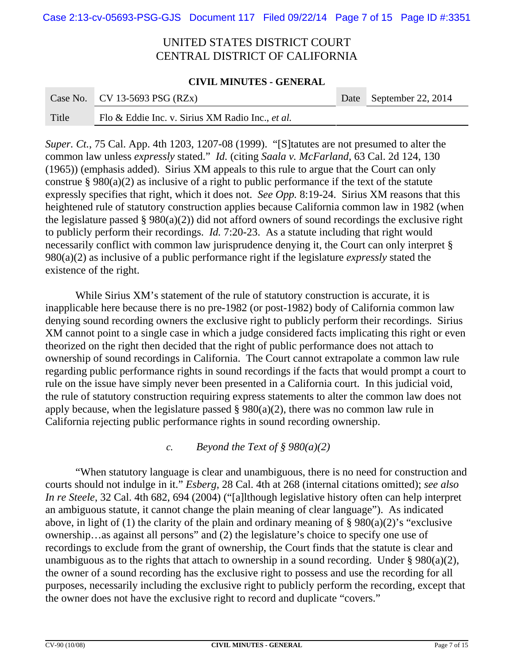### **CIVIL MINUTES - GENERAL**

|       | Case No. $\vert$ CV 13-5693 PSG (RZx)            | Date September 22, 2014 |
|-------|--------------------------------------------------|-------------------------|
| Title | Flo & Eddie Inc. v. Sirius XM Radio Inc., et al. |                         |

*Super. Ct.*, 75 Cal. App. 4th 1203, 1207-08 (1999). "[S]tatutes are not presumed to alter the common law unless *expressly* stated." *Id.* (citing *Saala v. McFarland*, 63 Cal. 2d 124, 130 (1965)) (emphasis added). Sirius XM appeals to this rule to argue that the Court can only construe  $\S 980(a)(2)$  as inclusive of a right to public performance if the text of the statute expressly specifies that right, which it does not. *See Opp.* 8:19-24. Sirius XM reasons that this heightened rule of statutory construction applies because California common law in 1982 (when the legislature passed § 980(a)(2)) did not afford owners of sound recordings the exclusive right to publicly perform their recordings. *Id.* 7:20-23. As a statute including that right would necessarily conflict with common law jurisprudence denying it, the Court can only interpret § 980(a)(2) as inclusive of a public performance right if the legislature *expressly* stated the existence of the right.

While Sirius XM's statement of the rule of statutory construction is accurate, it is inapplicable here because there is no pre-1982 (or post-1982) body of California common law denying sound recording owners the exclusive right to publicly perform their recordings. Sirius XM cannot point to a single case in which a judge considered facts implicating this right or even theorized on the right then decided that the right of public performance does not attach to ownership of sound recordings in California. The Court cannot extrapolate a common law rule regarding public performance rights in sound recordings if the facts that would prompt a court to rule on the issue have simply never been presented in a California court. In this judicial void, the rule of statutory construction requiring express statements to alter the common law does not apply because, when the legislature passed  $\S 980(a)(2)$ , there was no common law rule in California rejecting public performance rights in sound recording ownership.

*c. Beyond the Text of § 980(a)(2)*

"When statutory language is clear and unambiguous, there is no need for construction and courts should not indulge in it." *Esberg*, 28 Cal. 4th at 268 (internal citations omitted); *see also In re Steele*, 32 Cal. 4th 682, 694 (2004) ("[a]lthough legislative history often can help interpret an ambiguous statute, it cannot change the plain meaning of clear language"). As indicated above, in light of (1) the clarity of the plain and ordinary meaning of  $\S 980(a)(2)$ 's "exclusive" ownership…as against all persons" and (2) the legislature's choice to specify one use of recordings to exclude from the grant of ownership, the Court finds that the statute is clear and unambiguous as to the rights that attach to ownership in a sound recording. Under §  $980(a)(2)$ , the owner of a sound recording has the exclusive right to possess and use the recording for all purposes, necessarily including the exclusive right to publicly perform the recording, except that the owner does not have the exclusive right to record and duplicate "covers."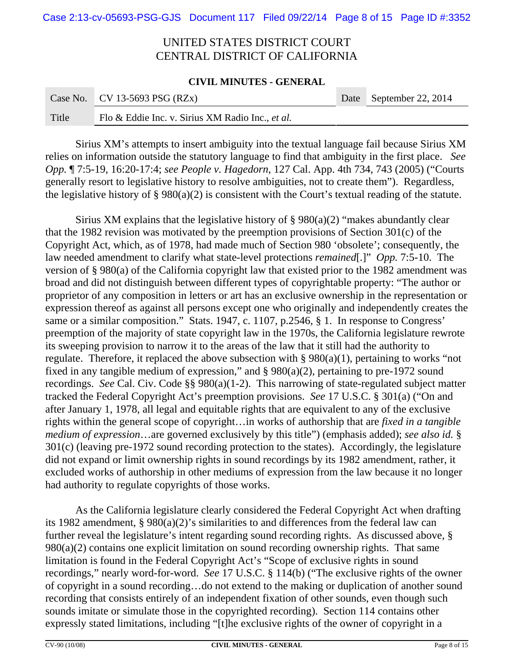### **CIVIL MINUTES - GENERAL**

|       | Case No. CV 13-5693 PSG $(RZx)$                  | Date September 22, 2014 |
|-------|--------------------------------------------------|-------------------------|
| Title | Flo & Eddie Inc. v. Sirius XM Radio Inc., et al. |                         |

Sirius XM's attempts to insert ambiguity into the textual language fail because Sirius XM relies on information outside the statutory language to find that ambiguity in the first place. *See Opp.* ¶ 7:5-19, 16:20-17:4; *see People v. Hagedorn*, 127 Cal. App. 4th 734, 743 (2005) ("Courts generally resort to legislative history to resolve ambiguities, not to create them"). Regardless, the legislative history of § 980(a)(2) is consistent with the Court's textual reading of the statute.

Sirius XM explains that the legislative history of  $\S 980(a)(2)$  "makes abundantly clear that the 1982 revision was motivated by the preemption provisions of Section 301(c) of the Copyright Act, which, as of 1978, had made much of Section 980 'obsolete'; consequently, the law needed amendment to clarify what state-level protections *remained*[.]" *Opp.* 7:5-10. The version of § 980(a) of the California copyright law that existed prior to the 1982 amendment was broad and did not distinguish between different types of copyrightable property: "The author or proprietor of any composition in letters or art has an exclusive ownership in the representation or expression thereof as against all persons except one who originally and independently creates the same or a similar composition." Stats. 1947, c. 1107, p.2546, § 1. In response to Congress' preemption of the majority of state copyright law in the 1970s, the California legislature rewrote its sweeping provision to narrow it to the areas of the law that it still had the authority to regulate. Therefore, it replaced the above subsection with  $\S 980(a)(1)$ , pertaining to works "not fixed in any tangible medium of expression," and § 980(a)(2), pertaining to pre-1972 sound recordings. *See* Cal. Civ. Code §§ 980(a)(1-2). This narrowing of state-regulated subject matter tracked the Federal Copyright Act's preemption provisions. *See* 17 U.S.C. § 301(a) ("On and after January 1, 1978, all legal and equitable rights that are equivalent to any of the exclusive rights within the general scope of copyright…in works of authorship that are *fixed in a tangible medium of expression*…are governed exclusively by this title") (emphasis added); *see also id.* § 301(c) (leaving pre-1972 sound recording protection to the states). Accordingly, the legislature did not expand or limit ownership rights in sound recordings by its 1982 amendment, rather, it excluded works of authorship in other mediums of expression from the law because it no longer had authority to regulate copyrights of those works.

As the California legislature clearly considered the Federal Copyright Act when drafting its 1982 amendment, § 980(a)(2)'s similarities to and differences from the federal law can further reveal the legislature's intent regarding sound recording rights. As discussed above, § 980(a)(2) contains one explicit limitation on sound recording ownership rights. That same limitation is found in the Federal Copyright Act's "Scope of exclusive rights in sound recordings," nearly word-for-word. *See* 17 U.S.C. § 114(b) ("The exclusive rights of the owner of copyright in a sound recording…do not extend to the making or duplication of another sound recording that consists entirely of an independent fixation of other sounds, even though such sounds imitate or simulate those in the copyrighted recording). Section 114 contains other expressly stated limitations, including "[t]he exclusive rights of the owner of copyright in a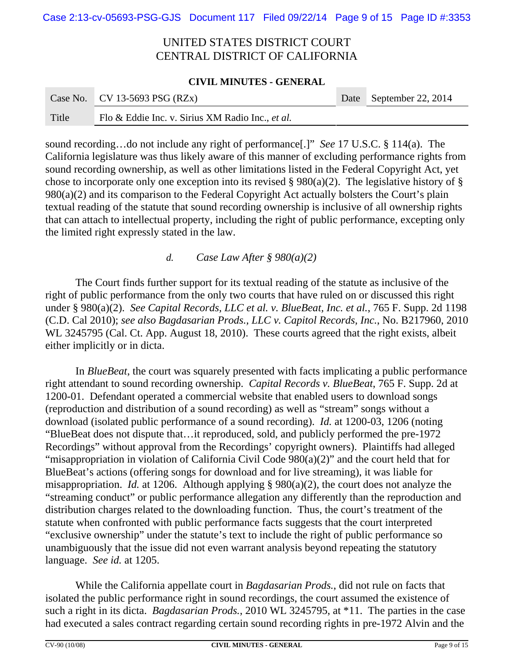### **CIVIL MINUTES - GENERAL**

|       | Case No. $\vert$ CV 13-5693 PSG (RZx)            | Date September 22, 2014 |
|-------|--------------------------------------------------|-------------------------|
| Title | Flo & Eddie Inc. v. Sirius XM Radio Inc., et al. |                         |

sound recording…do not include any right of performance[.]" *See* 17 U.S.C. § 114(a). The California legislature was thus likely aware of this manner of excluding performance rights from sound recording ownership, as well as other limitations listed in the Federal Copyright Act, yet chose to incorporate only one exception into its revised §  $980(a)(2)$ . The legislative history of § 980(a)(2) and its comparison to the Federal Copyright Act actually bolsters the Court's plain textual reading of the statute that sound recording ownership is inclusive of all ownership rights that can attach to intellectual property, including the right of public performance, excepting only the limited right expressly stated in the law.

## *d. Case Law After § 980(a)(2)*

The Court finds further support for its textual reading of the statute as inclusive of the right of public performance from the only two courts that have ruled on or discussed this right under § 980(a)(2). *See Capital Records, LLC et al. v. BlueBeat, Inc. et al.*, 765 F. Supp. 2d 1198 (C.D. Cal 2010); *see also Bagdasarian Prods., LLC v. Capitol Records, Inc.*, No. B217960, 2010 WL 3245795 (Cal. Ct. App. August 18, 2010). These courts agreed that the right exists, albeit either implicitly or in dicta.

In *BlueBeat*, the court was squarely presented with facts implicating a public performance right attendant to sound recording ownership. *Capital Records v. BlueBeat*, 765 F. Supp. 2d at 1200-01. Defendant operated a commercial website that enabled users to download songs (reproduction and distribution of a sound recording) as well as "stream" songs without a download (isolated public performance of a sound recording). *Id.* at 1200-03, 1206 (noting "BlueBeat does not dispute that…it reproduced, sold, and publicly performed the pre-1972 Recordings" without approval from the Recordings' copyright owners). Plaintiffs had alleged "misappropriation in violation of California Civil Code 980(a)(2)" and the court held that for BlueBeat's actions (offering songs for download and for live streaming), it was liable for misappropriation. *Id.* at 1206. Although applying § 980(a)(2), the court does not analyze the "streaming conduct" or public performance allegation any differently than the reproduction and distribution charges related to the downloading function. Thus, the court's treatment of the statute when confronted with public performance facts suggests that the court interpreted "exclusive ownership" under the statute's text to include the right of public performance so unambiguously that the issue did not even warrant analysis beyond repeating the statutory language. *See id.* at 1205.

While the California appellate court in *Bagdasarian Prods.*, did not rule on facts that isolated the public performance right in sound recordings, the court assumed the existence of such a right in its dicta. *Bagdasarian Prods.*, 2010 WL 3245795, at \*11. The parties in the case had executed a sales contract regarding certain sound recording rights in pre-1972 Alvin and the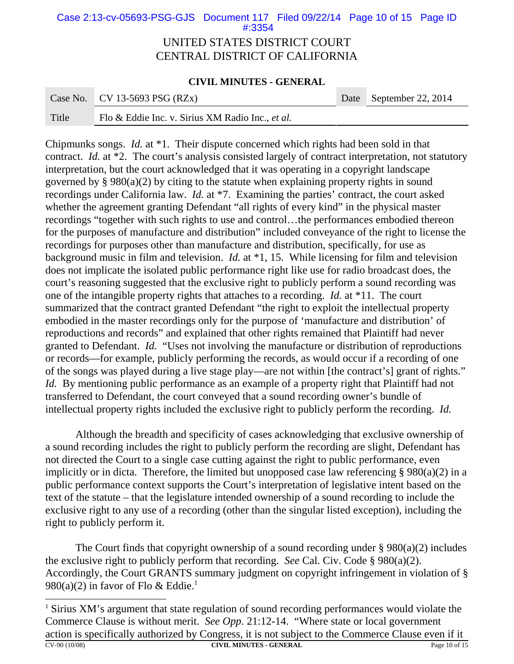## Case 2:13-cv-05693-PSG-GJS Document 117 Filed 09/22/14 Page 10 of 15 Page ID #:3354

## UNITED STATES DISTRICT COURT CENTRAL DISTRICT OF CALIFORNIA

### **CIVIL MINUTES - GENERAL**

|       | Case No. CV 13-5693 PSG $(RZx)$                  | Date September 22, 2014 |
|-------|--------------------------------------------------|-------------------------|
| Title | Flo & Eddie Inc. v. Sirius XM Radio Inc., et al. |                         |

Chipmunks songs. *Id.* at \*1. Their dispute concerned which rights had been sold in that contract. *Id.* at \*2. The court's analysis consisted largely of contract interpretation, not statutory interpretation, but the court acknowledged that it was operating in a copyright landscape governed by § 980(a)(2) by citing to the statute when explaining property rights in sound recordings under California law. *Id.* at \*7. Examining the parties' contract, the court asked whether the agreement granting Defendant "all rights of every kind" in the physical master recordings "together with such rights to use and control…the performances embodied thereon for the purposes of manufacture and distribution" included conveyance of the right to license the recordings for purposes other than manufacture and distribution, specifically, for use as background music in film and television. *Id.* at \*1, 15. While licensing for film and television does not implicate the isolated public performance right like use for radio broadcast does, the court's reasoning suggested that the exclusive right to publicly perform a sound recording was one of the intangible property rights that attaches to a recording. *Id.* at \*11. The court summarized that the contract granted Defendant "the right to exploit the intellectual property embodied in the master recordings only for the purpose of 'manufacture and distribution' of reproductions and records" and explained that other rights remained that Plaintiff had never granted to Defendant. *Id.* "Uses not involving the manufacture or distribution of reproductions or records—for example, publicly performing the records, as would occur if a recording of one of the songs was played during a live stage play—are not within [the contract's] grant of rights." *Id.* By mentioning public performance as an example of a property right that Plaintiff had not transferred to Defendant, the court conveyed that a sound recording owner's bundle of intellectual property rights included the exclusive right to publicly perform the recording. *Id.*

Although the breadth and specificity of cases acknowledging that exclusive ownership of a sound recording includes the right to publicly perform the recording are slight, Defendant has not directed the Court to a single case cutting against the right to public performance, even implicitly or in dicta. Therefore, the limited but unopposed case law referencing  $\S 980(a)(2)$  in a public performance context supports the Court's interpretation of legislative intent based on the text of the statute – that the legislature intended ownership of a sound recording to include the exclusive right to any use of a recording (other than the singular listed exception), including the right to publicly perform it.

The Court finds that copyright ownership of a sound recording under  $\S 980(a)(2)$  includes the exclusive right to publicly perform that recording. *See* Cal. Civ. Code § 980(a)(2). Accordingly, the Court GRANTS summary judgment on copyright infringement in violation of § 980(a)(2) in favor of Flo & Eddie.<sup>1</sup>

<sup>&</sup>lt;sup>1</sup> Sirius XM's argument that state regulation of sound recording performances would violate the Commerce Clause is without merit. *See Opp.* 21:12-14. "Where state or local government action is specifically authorized by Congress, it is not subject to the Commerce Clause even if it **CV-90 (10/08) CIVIL MINUTES - GENERAL** Page 10 of 15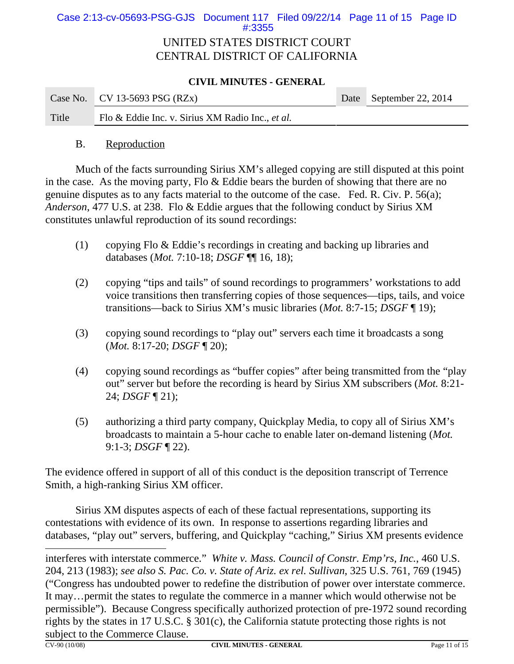## Case 2:13-cv-05693-PSG-GJS Document 117 Filed 09/22/14 Page 11 of 15 Page ID #:3355

## UNITED STATES DISTRICT COURT CENTRAL DISTRICT OF CALIFORNIA

### **CIVIL MINUTES - GENERAL**

|       | Case No. CV 13-5693 PSG $(RZx)$                  | Date September 22, 2014 |
|-------|--------------------------------------------------|-------------------------|
| Title | Flo & Eddie Inc. v. Sirius XM Radio Inc., et al. |                         |

## B. Reproduction

Much of the facts surrounding Sirius XM's alleged copying are still disputed at this point in the case. As the moving party, Flo & Eddie bears the burden of showing that there are no genuine disputes as to any facts material to the outcome of the case. Fed. R. Civ. P. 56(a); *Anderson*, 477 U.S. at 238. Flo & Eddie argues that the following conduct by Sirius XM constitutes unlawful reproduction of its sound recordings:

- (1) copying Flo & Eddie's recordings in creating and backing up libraries and databases (*Mot.* 7:10-18; *DSGF* ¶¶ 16, 18);
- (2) copying "tips and tails" of sound recordings to programmers' workstations to add voice transitions then transferring copies of those sequences—tips, tails, and voice transitions—back to Sirius XM's music libraries (*Mot.* 8:7-15; *DSGF* ¶ 19);
- (3) copying sound recordings to "play out" servers each time it broadcasts a song (*Mot.* 8:17-20; *DSGF* ¶ 20);
- (4) copying sound recordings as "buffer copies" after being transmitted from the "play out" server but before the recording is heard by Sirius XM subscribers (*Mot.* 8:21- 24; *DSGF* ¶ 21);
- (5) authorizing a third party company, Quickplay Media, to copy all of Sirius XM's broadcasts to maintain a 5-hour cache to enable later on-demand listening (*Mot.* 9:1-3; *DSGF* ¶ 22).

The evidence offered in support of all of this conduct is the deposition transcript of Terrence Smith, a high-ranking Sirius XM officer.

Sirius XM disputes aspects of each of these factual representations, supporting its contestations with evidence of its own. In response to assertions regarding libraries and databases, "play out" servers, buffering, and Quickplay "caching," Sirius XM presents evidence

interferes with interstate commerce." *White v. Mass. Council of Constr. Emp'rs, Inc.*, 460 U.S. 204, 213 (1983); *see also S. Pac. Co. v. State of Ariz. ex rel. Sullivan*, 325 U.S. 761, 769 (1945) ("Congress has undoubted power to redefine the distribution of power over interstate commerce. It may…permit the states to regulate the commerce in a manner which would otherwise not be permissible"). Because Congress specifically authorized protection of pre-1972 sound recording rights by the states in 17 U.S.C. § 301(c), the California statute protecting those rights is not subject to the Commerce Clause.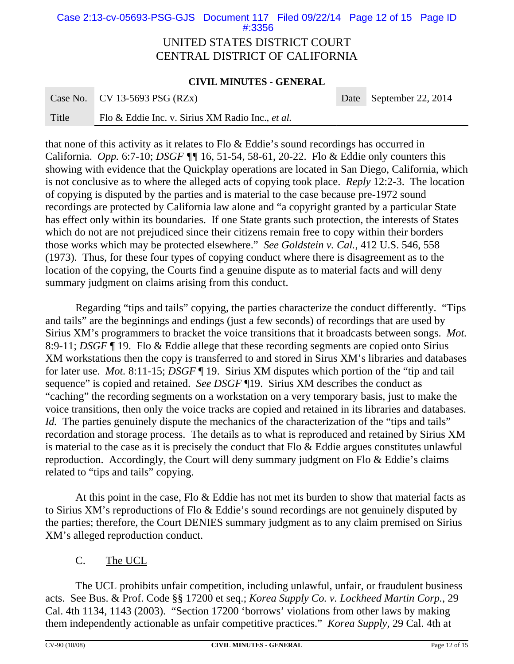## UNITED STATES DISTRICT COURT Case 2:13-cv-05693-PSG-GJS Document 117 Filed 09/22/14 Page 12 of 15 Page ID #:3356

# CENTRAL DISTRICT OF CALIFORNIA

### **CIVIL MINUTES - GENERAL**

|       | Case No. CV 13-5693 PSG $(RZx)$                  | Date September 22, 2014 |
|-------|--------------------------------------------------|-------------------------|
| Title | Flo & Eddie Inc. v. Sirius XM Radio Inc., et al. |                         |

that none of this activity as it relates to Flo & Eddie's sound recordings has occurred in California. *Opp.* 6:7-10; *DSGF ¶¶* 16, 51-54, 58-61, 20-22. Flo & Eddie only counters this showing with evidence that the Quickplay operations are located in San Diego, California, which is not conclusive as to where the alleged acts of copying took place. *Reply* 12:2-3. The location of copying is disputed by the parties and is material to the case because pre-1972 sound recordings are protected by California law alone and "a copyright granted by a particular State has effect only within its boundaries. If one State grants such protection, the interests of States which do not are not prejudiced since their citizens remain free to copy within their borders those works which may be protected elsewhere." *See Goldstein v. Cal.*, 412 U.S. 546, 558 (1973). Thus, for these four types of copying conduct where there is disagreement as to the location of the copying, the Courts find a genuine dispute as to material facts and will deny summary judgment on claims arising from this conduct.

Regarding "tips and tails" copying, the parties characterize the conduct differently. "Tips and tails" are the beginnings and endings (just a few seconds) of recordings that are used by Sirius XM's programmers to bracket the voice transitions that it broadcasts between songs. *Mot.* 8:9-11; *DSGF* ¶ 19. Flo & Eddie allege that these recording segments are copied onto Sirius XM workstations then the copy is transferred to and stored in Sirus XM's libraries and databases for later use. *Mot.* 8:11-15; *DSGF* ¶ 19. Sirius XM disputes which portion of the "tip and tail sequence" is copied and retained. *See DSGF* ¶19. Sirius XM describes the conduct as "caching" the recording segments on a workstation on a very temporary basis, just to make the voice transitions, then only the voice tracks are copied and retained in its libraries and databases. *Id.* The parties genuinely dispute the mechanics of the characterization of the "tips and tails" recordation and storage process. The details as to what is reproduced and retained by Sirius XM is material to the case as it is precisely the conduct that Flo & Eddie argues constitutes unlawful reproduction. Accordingly, the Court will deny summary judgment on Flo & Eddie's claims related to "tips and tails" copying.

At this point in the case, Flo & Eddie has not met its burden to show that material facts as to Sirius XM's reproductions of Flo & Eddie's sound recordings are not genuinely disputed by the parties; therefore, the Court DENIES summary judgment as to any claim premised on Sirius XM's alleged reproduction conduct.

## C. The UCL

The UCL prohibits unfair competition, including unlawful, unfair, or fraudulent business acts. See Bus. & Prof. Code §§ 17200 et seq.; *Korea Supply Co. v. Lockheed Martin Corp.*, 29 Cal. 4th 1134, 1143 (2003). "Section 17200 'borrows' violations from other laws by making them independently actionable as unfair competitive practices." *Korea Supply*, 29 Cal. 4th at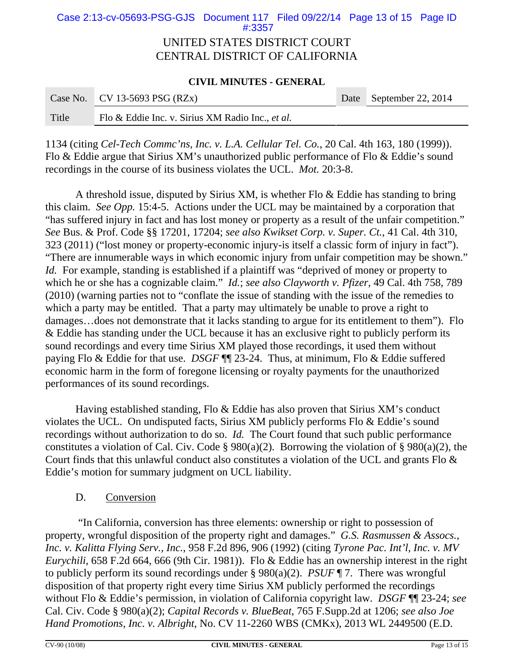## UNITED STATES DISTRICT COURT CENTRAL DISTRICT OF CALIFORNIA Case 2:13-cv-05693-PSG-GJS Document 117 Filed 09/22/14 Page 13 of 15 Page ID #:3357

### **CIVIL MINUTES - GENERAL**

|       | Case No.   CV 13-5693 PSG (RZx)                  | Date September 22, 2014 |
|-------|--------------------------------------------------|-------------------------|
| Title | Flo & Eddie Inc. v. Sirius XM Radio Inc., et al. |                         |

1134 (citing *Cel-Tech Commc'ns, Inc. v. L.A. Cellular Tel. Co.*, 20 Cal. 4th 163, 180 (1999)). Flo & Eddie argue that Sirius XM's unauthorized public performance of Flo & Eddie's sound recordings in the course of its business violates the UCL. *Mot.* 20:3-8.

A threshold issue, disputed by Sirius XM, is whether Flo & Eddie has standing to bring this claim. *See Opp.* 15:4-5. Actions under the UCL may be maintained by a corporation that "has suffered injury in fact and has lost money or property as a result of the unfair competition." *See* Bus. & Prof. Code §§ 17201, 17204; *see also Kwikset Corp. v. Super. Ct.*, 41 Cal. 4th 310, 323 (2011) ("lost money or property-economic injury-is itself a classic form of injury in fact"). "There are innumerable ways in which economic injury from unfair competition may be shown." *Id.* For example, standing is established if a plaintiff was "deprived of money or property to which he or she has a cognizable claim." *Id.*; *see also Clayworth v. Pfizer*, 49 Cal. 4th 758, 789 (2010) (warning parties not to "conflate the issue of standing with the issue of the remedies to which a party may be entitled. That a party may ultimately be unable to prove a right to damages…does not demonstrate that it lacks standing to argue for its entitlement to them"). Flo & Eddie has standing under the UCL because it has an exclusive right to publicly perform its sound recordings and every time Sirius XM played those recordings, it used them without paying Flo & Eddie for that use. *DSGF* ¶¶ 23-24. Thus, at minimum, Flo & Eddie suffered economic harm in the form of foregone licensing or royalty payments for the unauthorized performances of its sound recordings.

Having established standing, Flo & Eddie has also proven that Sirius XM's conduct violates the UCL. On undisputed facts, Sirius XM publicly performs Flo & Eddie's sound recordings without authorization to do so. *Id.* The Court found that such public performance constitutes a violation of Cal. Civ. Code § 980(a)(2). Borrowing the violation of § 980(a)(2), the Court finds that this unlawful conduct also constitutes a violation of the UCL and grants Flo  $\&$ Eddie's motion for summary judgment on UCL liability.

### D. Conversion

 "In California, conversion has three elements: ownership or right to possession of property, wrongful disposition of the property right and damages." *G.S. Rasmussen & Assocs., Inc. v. Kalitta Flying Serv., Inc.*, 958 F.2d 896, 906 (1992) (citing *Tyrone Pac. Int'l, Inc. v. MV Eurychili*, 658 F.2d 664, 666 (9th Cir. 1981)). Flo & Eddie has an ownership interest in the right to publicly perform its sound recordings under § 980(a)(2). *PSUF* ¶ 7. There was wrongful disposition of that property right every time Sirius XM publicly performed the recordings without Flo & Eddie's permission, in violation of California copyright law. *DSGF* ¶¶ 23-24; *see* Cal. Civ. Code § 980(a)(2); *Capital Records v. BlueBeat*, 765 F.Supp.2d at 1206; *see also Joe Hand Promotions, Inc. v. Albright*, No. CV 11-2260 WBS (CMKx), 2013 WL 2449500 (E.D.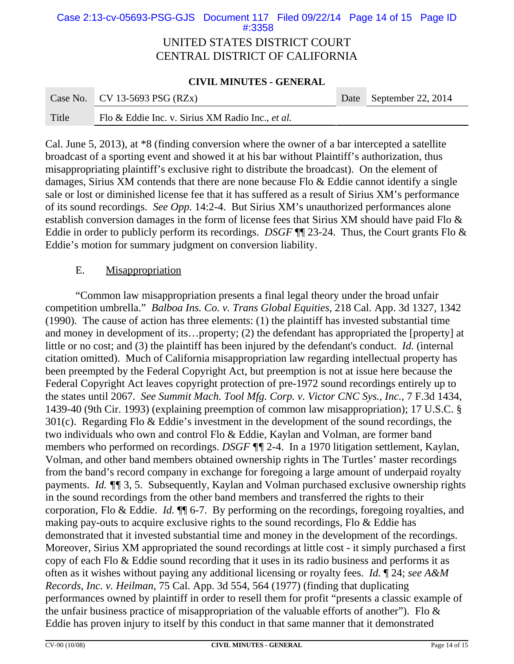## UNITED STATES DISTRICT COURT CENTRAL DISTRICT OF CALIFORNIA Case 2:13-cv-05693-PSG-GJS Document 117 Filed 09/22/14 Page 14 of 15 Page ID #:3358

### **CIVIL MINUTES - GENERAL**

|       | Case No. CV 13-5693 PSG (RZx)                    | Date September 22, 2014 |
|-------|--------------------------------------------------|-------------------------|
| Title | Flo & Eddie Inc. v. Sirius XM Radio Inc., et al. |                         |

Cal. June 5, 2013), at \*8 (finding conversion where the owner of a bar intercepted a satellite broadcast of a sporting event and showed it at his bar without Plaintiff's authorization, thus misappropriating plaintiff's exclusive right to distribute the broadcast). On the element of damages, Sirius XM contends that there are none because Flo & Eddie cannot identify a single sale or lost or diminished license fee that it has suffered as a result of Sirius XM's performance of its sound recordings. *See Opp.* 14:2-4. But Sirius XM's unauthorized performances alone establish conversion damages in the form of license fees that Sirius XM should have paid Flo & Eddie in order to publicly perform its recordings. *DSGF* ¶¶ 23-24. Thus, the Court grants Flo & Eddie's motion for summary judgment on conversion liability.

### E. Misappropriation

"Common law misappropriation presents a final legal theory under the broad unfair competition umbrella." *Balboa Ins. Co. v. Trans Global Equities*, 218 Cal. App. 3d 1327, 1342 (1990). The cause of action has three elements: (1) the plaintiff has invested substantial time and money in development of its…property; (2) the defendant has appropriated the [property] at little or no cost; and (3) the plaintiff has been injured by the defendant's conduct. *Id.* (internal citation omitted). Much of California misappropriation law regarding intellectual property has been preempted by the Federal Copyright Act, but preemption is not at issue here because the Federal Copyright Act leaves copyright protection of pre-1972 sound recordings entirely up to the states until 2067. *See Summit Mach. Tool Mfg. Corp. v. Victor CNC Sys., Inc.*, 7 F.3d 1434, 1439-40 (9th Cir. 1993) (explaining preemption of common law misappropriation); 17 U.S.C. § 301(c). Regarding Flo & Eddie's investment in the development of the sound recordings, the two individuals who own and control Flo & Eddie, Kaylan and Volman, are former band members who performed on recordings. *DSGF ¶¶* 2-4. In a 1970 litigation settlement, Kaylan, Volman, and other band members obtained ownership rights in The Turtles' master recordings from the band's record company in exchange for foregoing a large amount of underpaid royalty payments. *Id. ¶¶* 3, 5. Subsequently, Kaylan and Volman purchased exclusive ownership rights in the sound recordings from the other band members and transferred the rights to their corporation, Flo & Eddie. *Id.* ¶¶ 6-7. By performing on the recordings, foregoing royalties, and making pay-outs to acquire exclusive rights to the sound recordings, Flo & Eddie has demonstrated that it invested substantial time and money in the development of the recordings. Moreover, Sirius XM appropriated the sound recordings at little cost - it simply purchased a first copy of each Flo & Eddie sound recording that it uses in its radio business and performs it as often as it wishes without paying any additional licensing or royalty fees. *Id.* ¶ 24; *see A&M Records, Inc. v. Heilman*, 75 Cal. App. 3d 554, 564 (1977) (finding that duplicating performances owned by plaintiff in order to resell them for profit "presents a classic example of the unfair business practice of misappropriation of the valuable efforts of another"). Flo  $\&$ Eddie has proven injury to itself by this conduct in that same manner that it demonstrated